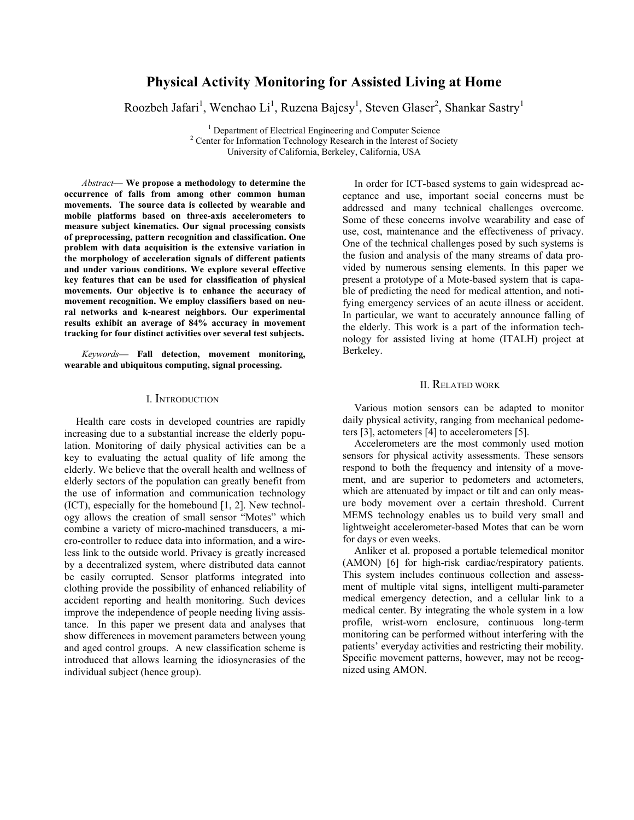# **Physical Activity Monitoring for Assisted Living at Home**

Roozbeh Jafari<sup>1</sup>, Wenchao Li<sup>1</sup>, Ruzena Bajcsy<sup>1</sup>, Steven Glaser<sup>2</sup>, Shankar Sastry<sup>1</sup>

<sup>1</sup> Department of Electrical Engineering and Computer Science <sup>2</sup><br><sup>2</sup> Contag for Information Technology Bessereb in the Interest of Sec <sup>2</sup> Center for Information Technology Research in the Interest of Society University of California, Berkeley, California, USA

*Abstract***— We propose a methodology to determine the occurrence of falls from among other common human movements. The source data is collected by wearable and mobile platforms based on three-axis accelerometers to measure subject kinematics. Our signal processing consists of preprocessing, pattern recognition and classification. One problem with data acquisition is the extensive variation in the morphology of acceleration signals of different patients and under various conditions. We explore several effective key features that can be used for classification of physical movements. Our objective is to enhance the accuracy of movement recognition. We employ classifiers based on neural networks and k-nearest neighbors. Our experimental results exhibit an average of 84% accuracy in movement tracking for four distinct activities over several test subjects.** 

*Keywords***— Fall detection, movement monitoring, wearable and ubiquitous computing, signal processing.** 

## I. INTRODUCTION

Health care costs in developed countries are rapidly increasing due to a substantial increase the elderly population. Monitoring of daily physical activities can be a key to evaluating the actual quality of life among the elderly. We believe that the overall health and wellness of elderly sectors of the population can greatly benefit from the use of information and communication technology (ICT), especially for the homebound [1, 2]. New technology allows the creation of small sensor "Motes" which combine a variety of micro-machined transducers, a micro-controller to reduce data into information, and a wireless link to the outside world. Privacy is greatly increased by a decentralized system, where distributed data cannot be easily corrupted. Sensor platforms integrated into clothing provide the possibility of enhanced reliability of accident reporting and health monitoring. Such devices improve the independence of people needing living assistance. In this paper we present data and analyses that show differences in movement parameters between young and aged control groups. A new classification scheme is introduced that allows learning the idiosyncrasies of the individual subject (hence group).

In order for ICT-based systems to gain widespread acceptance and use, important social concerns must be addressed and many technical challenges overcome. Some of these concerns involve wearability and ease of use, cost, maintenance and the effectiveness of privacy. One of the technical challenges posed by such systems is the fusion and analysis of the many streams of data provided by numerous sensing elements. In this paper we present a prototype of a Mote-based system that is capable of predicting the need for medical attention, and notifying emergency services of an acute illness or accident. In particular, we want to accurately announce falling of the elderly. This work is a part of the information technology for assisted living at home (ITALH) project at Berkeley.

#### II. RELATED WORK

Various motion sensors can be adapted to monitor daily physical activity, ranging from mechanical pedometers [3], actometers [4] to accelerometers [5].

Accelerometers are the most commonly used motion sensors for physical activity assessments. These sensors respond to both the frequency and intensity of a movement, and are superior to pedometers and actometers, which are attenuated by impact or tilt and can only measure body movement over a certain threshold. Current MEMS technology enables us to build very small and lightweight accelerometer-based Motes that can be worn for days or even weeks.

Anliker et al. proposed a portable telemedical monitor (AMON) [6] for high-risk cardiac/respiratory patients. This system includes continuous collection and assessment of multiple vital signs, intelligent multi-parameter medical emergency detection, and a cellular link to a medical center. By integrating the whole system in a low profile, wrist-worn enclosure, continuous long-term monitoring can be performed without interfering with the patients' everyday activities and restricting their mobility. Specific movement patterns, however, may not be recognized using AMON.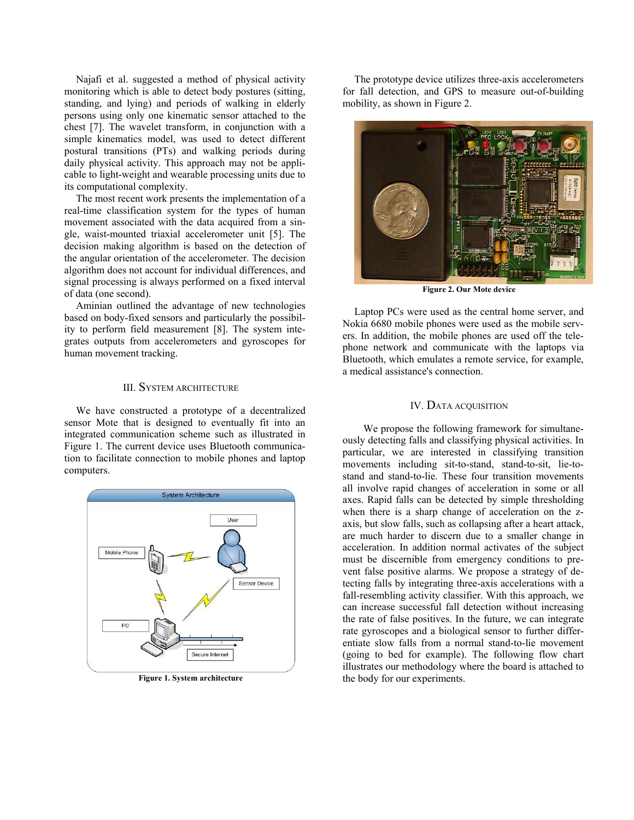Najafi et al. suggested a method of physical activity monitoring which is able to detect body postures (sitting, standing, and lying) and periods of walking in elderly persons using only one kinematic sensor attached to the chest [7]. The wavelet transform, in conjunction with a simple kinematics model, was used to detect different postural transitions (PTs) and walking periods during daily physical activity. This approach may not be applicable to light-weight and wearable processing units due to its computational complexity.

The most recent work presents the implementation of a real-time classification system for the types of human movement associated with the data acquired from a single, waist-mounted triaxial accelerometer unit [5]. The decision making algorithm is based on the detection of the angular orientation of the accelerometer. The decision algorithm does not account for individual differences, and signal processing is always performed on a fixed interval of data (one second).

Aminian outlined the advantage of new technologies based on body-fixed sensors and particularly the possibility to perform field measurement [8]. The system integrates outputs from accelerometers and gyroscopes for human movement tracking.

## III. SYSTEM ARCHITECTURE

We have constructed a prototype of a decentralized sensor Mote that is designed to eventually fit into an integrated communication scheme such as illustrated in Figure 1. The current device uses Bluetooth communication to facilitate connection to mobile phones and laptop computers.



**Figure 1. System architecture** 

The prototype device utilizes three-axis accelerometers for fall detection, and GPS to measure out-of-building mobility, as shown in Figure 2.



**Figure 2. Our Mote device** 

Laptop PCs were used as the central home server, and Nokia 6680 mobile phones were used as the mobile servers. In addition, the mobile phones are used off the telephone network and communicate with the laptops via Bluetooth, which emulates a remote service, for example, a medical assistance's connection.

## IV. DATA ACQUISITION

 We propose the following framework for simultaneously detecting falls and classifying physical activities. In particular, we are interested in classifying transition movements including sit-to-stand, stand-to-sit, lie-tostand and stand-to-lie. These four transition movements all involve rapid changes of acceleration in some or all axes. Rapid falls can be detected by simple thresholding when there is a sharp change of acceleration on the zaxis, but slow falls, such as collapsing after a heart attack, are much harder to discern due to a smaller change in acceleration. In addition normal activates of the subject must be discernible from emergency conditions to prevent false positive alarms. We propose a strategy of detecting falls by integrating three-axis accelerations with a fall-resembling activity classifier. With this approach, we can increase successful fall detection without increasing the rate of false positives. In the future, we can integrate rate gyroscopes and a biological sensor to further differentiate slow falls from a normal stand-to-lie movement (going to bed for example). The following flow chart illustrates our methodology where the board is attached to the body for our experiments.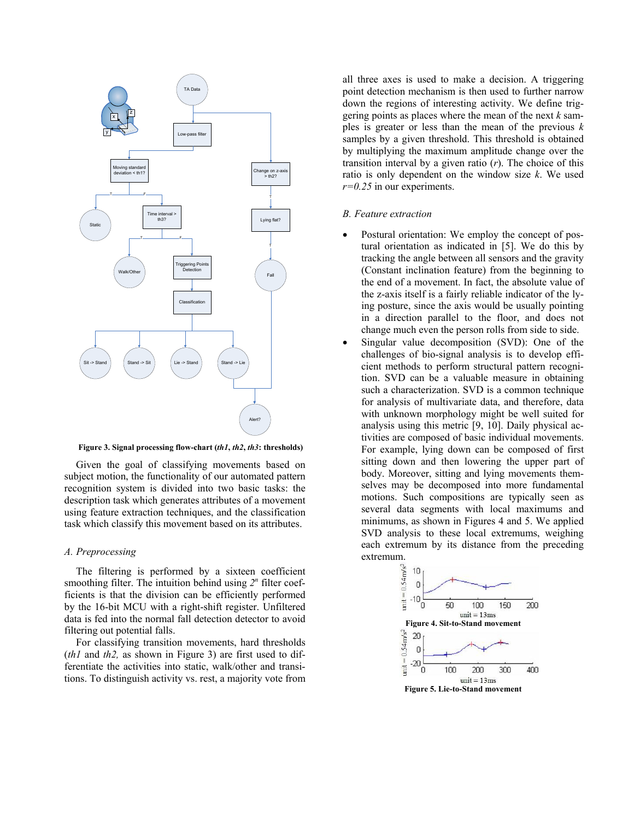

**Figure 3. Signal processing flow-chart (***th1***,** *th2***,** *th3***: thresholds)** 

Given the goal of classifying movements based on subject motion, the functionality of our automated pattern recognition system is divided into two basic tasks: the description task which generates attributes of a movement using feature extraction techniques, and the classification task which classify this movement based on its attributes.

#### *A. Preprocessing*

The filtering is performed by a sixteen coefficient smoothing filter. The intuition behind using  $2^n$  filter coefficients is that the division can be efficiently performed by the 16-bit MCU with a right-shift register. Unfiltered data is fed into the normal fall detection detector to avoid filtering out potential falls.

For classifying transition movements, hard thresholds (*th1* and *th2,* as shown in Figure 3) are first used to differentiate the activities into static, walk/other and transitions. To distinguish activity vs. rest, a majority vote from all three axes is used to make a decision. A triggering point detection mechanism is then used to further narrow down the regions of interesting activity. We define triggering points as places where the mean of the next *k* samples is greater or less than the mean of the previous *k* samples by a given threshold. This threshold is obtained by multiplying the maximum amplitude change over the transition interval by a given ratio (*r*). The choice of this ratio is only dependent on the window size *k*. We used *r=0.25* in our experiments.

## *B. Feature extraction*

- Postural orientation: We employ the concept of postural orientation as indicated in [5]. We do this by tracking the angle between all sensors and the gravity (Constant inclination feature) from the beginning to the end of a movement. In fact, the absolute value of the z-axis itself is a fairly reliable indicator of the lying posture, since the axis would be usually pointing in a direction parallel to the floor, and does not change much even the person rolls from side to side.
- Singular value decomposition (SVD): One of the challenges of bio-signal analysis is to develop efficient methods to perform structural pattern recognition. SVD can be a valuable measure in obtaining such a characterization. SVD is a common technique for analysis of multivariate data, and therefore, data with unknown morphology might be well suited for analysis using this metric [9, 10]. Daily physical activities are composed of basic individual movements. For example, lying down can be composed of first sitting down and then lowering the upper part of body. Moreover, sitting and lying movements themselves may be decomposed into more fundamental motions. Such compositions are typically seen as several data segments with local maximums and minimums, as shown in Figures 4 and 5. We applied SVD analysis to these local extremums, weighing each extremum by its distance from the preceding extremum.

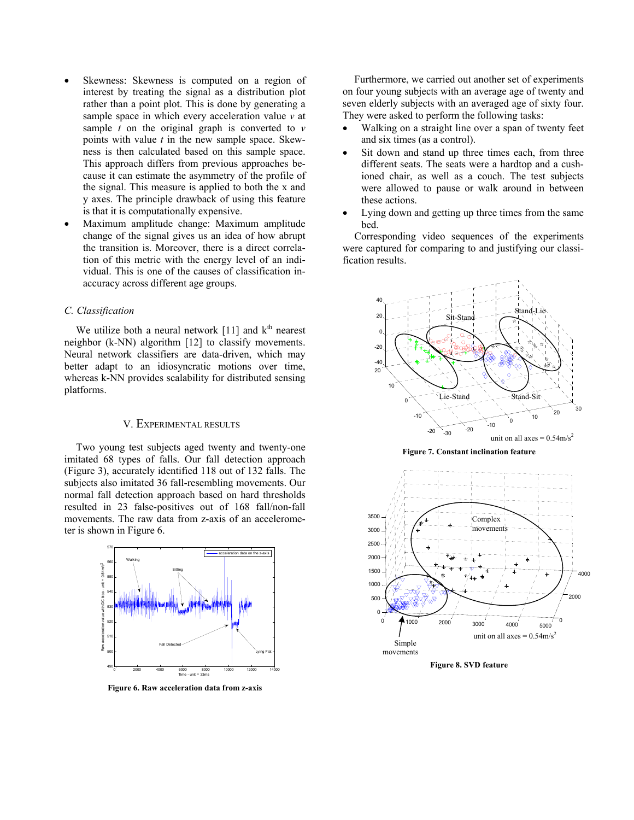- Skewness: Skewness is computed on a region of interest by treating the signal as a distribution plot rather than a point plot. This is done by generating a sample space in which every acceleration value *v* at sample *t* on the original graph is converted to *v* points with value *t* in the new sample space. Skewness is then calculated based on this sample space. This approach differs from previous approaches because it can estimate the asymmetry of the profile of the signal. This measure is applied to both the x and y axes. The principle drawback of using this feature is that it is computationally expensive.
- Maximum amplitude change: Maximum amplitude change of the signal gives us an idea of how abrupt the transition is. Moreover, there is a direct correlation of this metric with the energy level of an individual. This is one of the causes of classification inaccuracy across different age groups.

#### *C. Classification*

We utilize both a neural network  $[11]$  and  $k<sup>th</sup>$  nearest neighbor (k-NN) algorithm [12] to classify movements. Neural network classifiers are data-driven, which may better adapt to an idiosyncratic motions over time, whereas k-NN provides scalability for distributed sensing platforms.

#### V. EXPERIMENTAL RESULTS

Two young test subjects aged twenty and twenty-one imitated 68 types of falls. Our fall detection approach (Figure 3), accurately identified 118 out of 132 falls. The subjects also imitated 36 fall-resembling movements. Our normal fall detection approach based on hard thresholds resulted in 23 false-positives out of 168 fall/non-fall movements. The raw data from z-axis of an accelerometer is shown in Figure 6.



**Figure 6. Raw acceleration data from z-axis** 

Furthermore, we carried out another set of experiments on four young subjects with an average age of twenty and seven elderly subjects with an averaged age of sixty four. They were asked to perform the following tasks:

- Walking on a straight line over a span of twenty feet and six times (as a control).
- Sit down and stand up three times each, from three different seats. The seats were a hardtop and a cushioned chair, as well as a couch. The test subjects were allowed to pause or walk around in between these actions.
- Lying down and getting up three times from the same bed.

Corresponding video sequences of the experiments were captured for comparing to and justifying our classification results.







**Figure 8. SVD feature**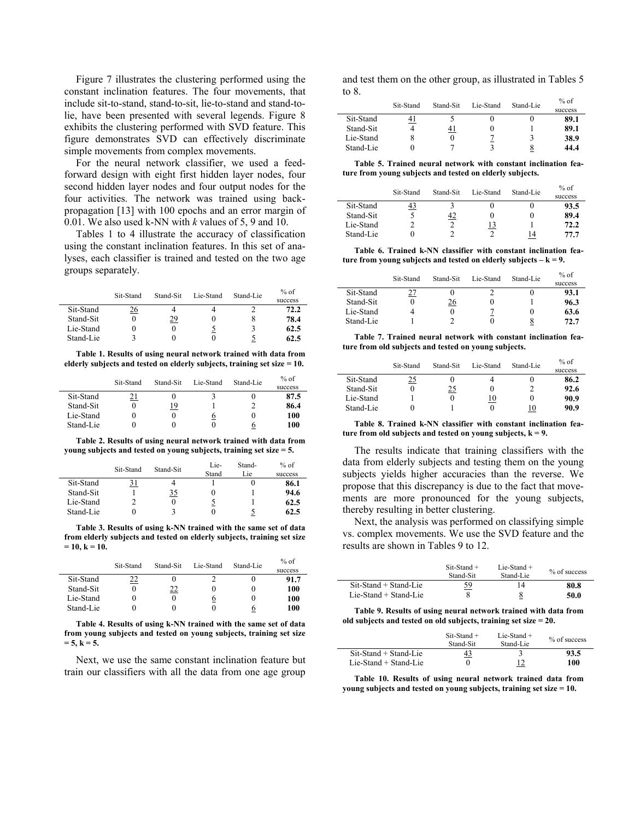Figure 7 illustrates the clustering performed using the constant inclination features. The four movements, that include sit-to-stand, stand-to-sit, lie-to-stand and stand-tolie, have been presented with several legends. Figure 8 exhibits the clustering performed with SVD feature. This figure demonstrates SVD can effectively discriminate simple movements from complex movements.

For the neural network classifier, we used a feedforward design with eight first hidden layer nodes, four second hidden layer nodes and four output nodes for the four activities. The network was trained using backpropagation [13] with 100 epochs and an error margin of 0.01. We also used k-NN with *k* values of 5, 9 and 10.

Tables 1 to 4 illustrate the accuracy of classification using the constant inclination features. In this set of analyses, each classifier is trained and tested on the two age groups separately.

|           | Sit-Stand | Stand-Sit | Lie-Stand     | Stand-Lie | $%$ of<br>success |
|-----------|-----------|-----------|---------------|-----------|-------------------|
| Sit-Stand | <u>26</u> |           |               |           | 72.2              |
| Stand-Sit |           | <u>29</u> |               |           | 78.4              |
| Lie-Stand |           |           | $\mathcal{L}$ |           | 62.5              |
| Stand-Lie |           |           |               |           | 62.5              |

**Table 1. Results of using neural network trained with data from elderly subjects and tested on elderly subjects, training set size = 10.** 

|           | Sit-Stand | Stand-Sit | Lie-Stand | Stand-Lie | $%$ of  |
|-----------|-----------|-----------|-----------|-----------|---------|
|           |           |           |           |           | success |
| Sit-Stand |           |           |           |           | 87.5    |
| Stand-Sit | 0         | 19        |           |           | 86.4    |
| Lie-Stand | U         |           | o         |           | 100     |
| Stand-Lie |           |           |           |           | 100     |

**Table 2. Results of using neural network trained with data from young subjects and tested on young subjects, training set size = 5.** 

|           | Sit-Stand | Stand-Sit | Lie-<br>Stand | Stand-<br>Lie | $%$ of<br>success |
|-----------|-----------|-----------|---------------|---------------|-------------------|
| Sit-Stand | 31        | 4         |               |               | 86.1              |
| Stand-Sit |           | <u>35</u> |               |               | 94.6              |
| Lie-Stand | ∍         |           |               |               | 62.5              |
| Stand-Lie |           |           |               |               | 62.5              |

**Table 3. Results of using k-NN trained with the same set of data from elderly subjects and tested on elderly subjects, training set size**   $= 10, k = 10.$ 

|           | Sit-Stand | Stand-Sit | Lie-Stand | Stand-Lie | $%$ of<br>success |
|-----------|-----------|-----------|-----------|-----------|-------------------|
| Sit-Stand | <u>22</u> | 0         |           |           | 91.7              |
| Stand-Sit |           | <u>22</u> |           |           | 100               |
| Lie-Stand |           |           | O         |           | 100               |
| Stand-Lie |           |           |           |           | 100               |

**Table 4. Results of using k-NN trained with the same set of data from young subjects and tested on young subjects, training set size**   $= 5, k = 5.$ 

Next, we use the same constant inclination feature but train our classifiers with all the data from one age group

and test them on the other group, as illustrated in Tables 5 to 8.

|           | Sit-Stand | Stand-Sit | Lie-Stand | Stand-Lie | $%$ of<br>success |
|-----------|-----------|-----------|-----------|-----------|-------------------|
| Sit-Stand | <u>41</u> |           |           |           | 89.1              |
| Stand-Sit | 4         | <u>41</u> |           |           | 89.1              |
| Lie-Stand | 8         |           |           |           | 38.9              |
| Stand-Lie |           |           |           |           | 44.4              |

**Table 5. Trained neural network with constant inclination feature from young subjects and tested on elderly subjects.** 

|           | Sit-Stand | Stand-Sit | Lie-Stand | Stand-Lie | $%$ of<br>success |
|-----------|-----------|-----------|-----------|-----------|-------------------|
| Sit-Stand | 43        |           |           |           | 93.5              |
| Stand-Sit |           | 42        |           |           | 89.4              |
| Lie-Stand |           | ↑         | 13        |           | 72.2              |
| Stand-Lie |           |           |           | 14        | 77.7              |

**Table 6. Trained k-NN classifier with constant inclination fea**ture from young subjects and tested on elderly subjects  $-k = 9$ .

|           | Sit-Stand | Stand-Sit | Lie-Stand | Stand-Lie | $%$ of<br>success |
|-----------|-----------|-----------|-----------|-----------|-------------------|
| Sit-Stand | 27        | U         |           |           | 93.1              |
| Stand-Sit |           | <u>26</u> |           |           | 96.3              |
| Lie-Stand |           | O         |           |           | 63.6              |
| Stand-Lie |           |           |           |           | 72.7              |

**Table 7. Trained neural network with constant inclination feature from old subjects and tested on young subjects.** 

|           | Sit-Stand | Stand-Sit | Lie-Stand | Stand-Lie | $%$ of<br>success |
|-----------|-----------|-----------|-----------|-----------|-------------------|
| Sit-Stand | 25        |           |           |           | 86.2              |
| Stand-Sit |           | 25        |           |           | 92.6              |
| Lie-Stand |           |           |           |           | 90.9              |
| Stand-Lie |           |           |           |           | 90.9              |

**Table 8. Trained k-NN classifier with constant inclination feature from old subjects and tested on young subjects, k = 9.** 

The results indicate that training classifiers with the data from elderly subjects and testing them on the young subjects yields higher accuracies than the reverse. We propose that this discrepancy is due to the fact that movements are more pronounced for the young subjects, thereby resulting in better clustering.

Next, the analysis was performed on classifying simple vs. complex movements. We use the SVD feature and the results are shown in Tables 9 to 12.

|                       | $Sit-Stand +$<br>Stand-Sit | Lie-Stand $+$<br>Stand-Lie | % of success |
|-----------------------|----------------------------|----------------------------|--------------|
| Sit-Stand + Stand-Lie | <u>59</u>                  | 14                         | 80.8         |
| Lie-Stand + Stand-Lie | 8                          | 8                          | 50.0         |

**Table 9. Results of using neural network trained with data from old subjects and tested on old subjects, training set size = 20.** 

|                          | $Sit-Stand +$<br>Stand-Sit | Lie-Stand $+$<br>Stand-Lie | % of success |
|--------------------------|----------------------------|----------------------------|--------------|
| $Sit$ -Stand + Stand-Lie | <u>43</u>                  |                            | 93.5         |
| $Lie-Stand + Stand-Lie$  |                            | 12                         | 100          |

**Table 10. Results of using neural network trained data from young subjects and tested on young subjects, training set size = 10.**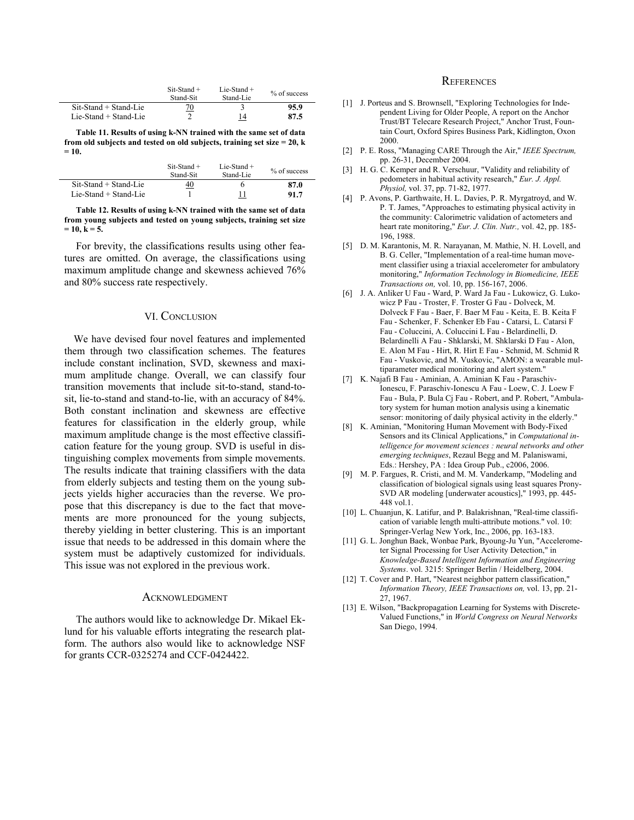|                       | $Sit-Stand +$<br>Stand-Sit | Lie-Stand $+$<br>Stand-Lie | % of success |
|-----------------------|----------------------------|----------------------------|--------------|
| Sit-Stand + Stand-Lie | <u>70</u>                  |                            | 95.9         |
| Lie-Stand + Stand-Lie |                            |                            | 87.5         |

**Table 11. Results of using k-NN trained with the same set of data from old subjects and tested on old subjects, training set size = 20, k**   $= 10.$ 

|                          | $Sit-Stand +$<br>Stand-Sit | Lie-Stand $+$<br>Stand-Lie | % of success |
|--------------------------|----------------------------|----------------------------|--------------|
| $Sit$ -Stand + Stand-Lie | 40                         | h                          | 87.0         |
| $Lie-Stand + Stand-Lie$  |                            |                            | 91.7         |

**Table 12. Results of using k-NN trained with the same set of data from young subjects and tested on young subjects, training set size**   $= 10, k = 5.$ 

For brevity, the classifications results using other features are omitted. On average, the classifications using maximum amplitude change and skewness achieved 76% and 80% success rate respectively.

## VI. CONCLUSION

We have devised four novel features and implemented them through two classification schemes. The features include constant inclination, SVD, skewness and maximum amplitude change. Overall, we can classify four transition movements that include sit-to-stand, stand-tosit, lie-to-stand and stand-to-lie, with an accuracy of 84%. Both constant inclination and skewness are effective features for classification in the elderly group, while maximum amplitude change is the most effective classification feature for the young group. SVD is useful in distinguishing complex movements from simple movements. The results indicate that training classifiers with the data from elderly subjects and testing them on the young subjects yields higher accuracies than the reverse. We propose that this discrepancy is due to the fact that movements are more pronounced for the young subjects, thereby yielding in better clustering. This is an important issue that needs to be addressed in this domain where the system must be adaptively customized for individuals. This issue was not explored in the previous work.

#### **ACKNOWLEDGMENT**

The authors would like to acknowledge Dr. Mikael Eklund for his valuable efforts integrating the research platform. The authors also would like to acknowledge NSF for grants CCR-0325274 and CCF-0424422.

## **REFERENCES**

- [1] J. Porteus and S. Brownsell, "Exploring Technologies for Independent Living for Older People, A report on the Anchor Trust/BT Telecare Research Project," Anchor Trust, Fountain Court, Oxford Spires Business Park, Kidlington, Oxon 2000.
- [2] P. E. Ross, "Managing CARE Through the Air," *IEEE Spectrum,*  pp. 26-31, December 2004.
- [3] H. G. C. Kemper and R. Verschuur, "Validity and reliability of pedometers in habitual activity research," *Eur. J. Appl. Physiol,* vol. 37, pp. 71-82, 1977.
- [4] P. Avons, P. Garthwaite, H. L. Davies, P. R. Myrgatroyd, and W. P. T. James, "Approaches to estimating physical activity in the community: Calorimetric validation of actometers and heart rate monitoring," *Eur. J. Clin. Nutr.,* vol. 42, pp. 185- 196, 1988.
- [5] D. M. Karantonis, M. R. Narayanan, M. Mathie, N. H. Lovell, and B. G. Celler, "Implementation of a real-time human movement classifier using a triaxial accelerometer for ambulatory monitoring," *Information Technology in Biomedicine, IEEE Transactions on,* vol. 10, pp. 156-167, 2006.
- [6] J. A. Anliker U Fau Ward, P. Ward Ja Fau Lukowicz, G. Lukowicz P Fau - Troster, F. Troster G Fau - Dolveck, M. Dolveck F Fau - Baer, F. Baer M Fau - Keita, E. B. Keita F Fau - Schenker, F. Schenker Eb Fau - Catarsi, L. Catarsi F Fau - Coluccini, A. Coluccini L Fau - Belardinelli, D. Belardinelli A Fau - Shklarski, M. Shklarski D Fau - Alon, E. Alon M Fau - Hirt, R. Hirt E Fau - Schmid, M. Schmid R Fau - Vuskovic, and M. Vuskovic, "AMON: a wearable multiparameter medical monitoring and alert system."
- [7] K. Najafi B Fau Aminian, A. Aminian K Fau Paraschiv-Ionescu, F. Paraschiv-Ionescu A Fau - Loew, C. J. Loew F Fau - Bula, P. Bula Cj Fau - Robert, and P. Robert, "Ambulatory system for human motion analysis using a kinematic sensor: monitoring of daily physical activity in the elderly."
- [8] K. Aminian, "Monitoring Human Movement with Body-Fixed Sensors and its Clinical Applications," in *Computational intelligence for movement sciences : neural networks and other emerging techniques*, Rezaul Begg and M. Palaniswami, Eds.: Hershey, PA : Idea Group Pub., c2006, 2006.
- [9] M. P. Fargues, R. Cristi, and M. M. Vanderkamp, "Modeling and classification of biological signals using least squares Prony-SVD AR modeling [underwater acoustics]," 1993, pp. 445- 448 vol.1.
- [10] L. Chuanjun, K. Latifur, and P. Balakrishnan, "Real-time classification of variable length multi-attribute motions." vol. 10: Springer-Verlag New York, Inc., 2006, pp. 163-183.
- [11] G. L. Jonghun Baek, Wonbae Park, Byoung-Ju Yun, "Accelerometer Signal Processing for User Activity Detection," in *Knowledge-Based Intelligent Information and Engineering Systems*. vol. 3215: Springer Berlin / Heidelberg, 2004.
- [12] T. Cover and P. Hart, "Nearest neighbor pattern classification," *Information Theory, IEEE Transactions on,* vol. 13, pp. 21- 27, 1967.
- [13] E. Wilson, "Backpropagation Learning for Systems with Discrete-Valued Functions," in *World Congress on Neural Networks* San Diego, 1994.